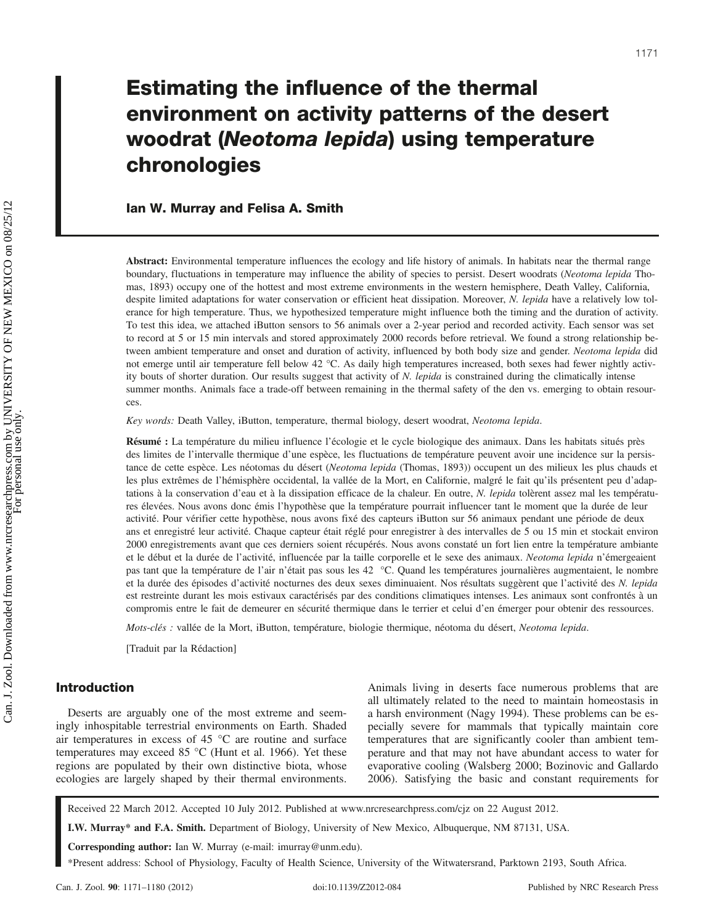# Estimating the influence of the thermal environment on activity patterns of the desert woodrat (Neotoma lepida) using temperature chronologies

# Ian W. Murray and Felisa A. Smith

Abstract: Environmental temperature influences the ecology and life history of animals. In habitats near the thermal range boundary, fluctuations in temperature may influence the ability of species to persist. Desert woodrats (Neotoma lepida Thomas, 1893) occupy one of the hottest and most extreme environments in the western hemisphere, Death Valley, California, despite limited adaptations for water conservation or efficient heat dissipation. Moreover, N. lepida have a relatively low tolerance for high temperature. Thus, we hypothesized temperature might influence both the timing and the duration of activity. To test this idea, we attached iButton sensors to 56 animals over a 2-year period and recorded activity. Each sensor was set to record at 5 or 15 min intervals and stored approximately 2000 records before retrieval. We found a strong relationship between ambient temperature and onset and duration of activity, influenced by both body size and gender. Neotoma lepida did not emerge until air temperature fell below 42 °C. As daily high temperatures increased, both sexes had fewer nightly activity bouts of shorter duration. Our results suggest that activity of N. lepida is constrained during the climatically intense summer months. Animals face a trade-off between remaining in the thermal safety of the den vs. emerging to obtain resources.

Key words: Death Valley, iButton, temperature, thermal biology, desert woodrat, Neotoma lepida.

Résumé : La température du milieu influence l'écologie et le cycle biologique des animaux. Dans les habitats situés près des limites de l'intervalle thermique d'une espèce, les fluctuations de température peuvent avoir une incidence sur la persistance de cette espèce. Les néotomas du désert (Neotoma lepida (Thomas, 1893)) occupent un des milieux les plus chauds et les plus extrêmes de l'hémisphère occidental, la vallée de la Mort, en Californie, malgré le fait qu'ils présentent peu d'adaptations à la conservation d'eau et à la dissipation efficace de la chaleur. En outre, N. lepida tolèrent assez mal les températures élevées. Nous avons donc émis l'hypothèse que la température pourrait influencer tant le moment que la durée de leur activité. Pour vérifier cette hypothèse, nous avons fixé des capteurs iButton sur 56 animaux pendant une période de deux ans et enregistré leur activité. Chaque capteur était réglé pour enregistrer à des intervalles de 5 ou 15 min et stockait environ 2000 enregistrements avant que ces derniers soient récupérés. Nous avons constaté un fort lien entre la température ambiante et le début et la durée de l'activité, influencée par la taille corporelle et le sexe des animaux. Neotoma lepida n'émergeaient pas tant que la température de l'air n'était pas sous les 42 °C. Quand les températures journalières augmentaient, le nombre et la durée des épisodes d'activité nocturnes des deux sexes diminuaient. Nos résultats suggèrent que l'activité des N. lepida est restreinte durant les mois estivaux caractérisés par des conditions climatiques intenses. Les animaux sont confrontés à un compromis entre le fait de demeurer en sécurité thermique dans le terrier et celui d'en émerger pour obtenir des ressources.

Mots-clés : vallée de la Mort, iButton, température, biologie thermique, néotoma du désert, Neotoma lepida.

[Traduit par la Rédaction]

# Introduction

Deserts are arguably one of the most extreme and seemingly inhospitable terrestrial environments on Earth. Shaded air temperatures in excess of 45 °C are routine and surface temperatures may exceed 85 °C (Hunt et al. 1966). Yet these regions are populated by their own distinctive biota, whose ecologies are largely shaped by their thermal environments. Animals living in deserts face numerous problems that are all ultimately related to the need to maintain homeostasis in a harsh environment (Nagy 1994). These problems can be especially severe for mammals that typically maintain core temperatures that are significantly cooler than ambient temperature and that may not have abundant access to water for evaporative cooling (Walsberg 2000; Bozinovic and Gallardo 2006). Satisfying the basic and constant requirements for

Received 22 March 2012. Accepted 10 July 2012. Published at www.nrcresearchpress.com/cjz on 22 August 2012.

I.W. Murray\* and F.A. Smith. Department of Biology, University of New Mexico, Albuquerque, NM 87131, USA.

Corresponding author: Ian W. Murray (e-mail: imurray@unm.edu).

\*Present address: School of Physiology, Faculty of Health Science, University of the Witwatersrand, Parktown 2193, South Africa.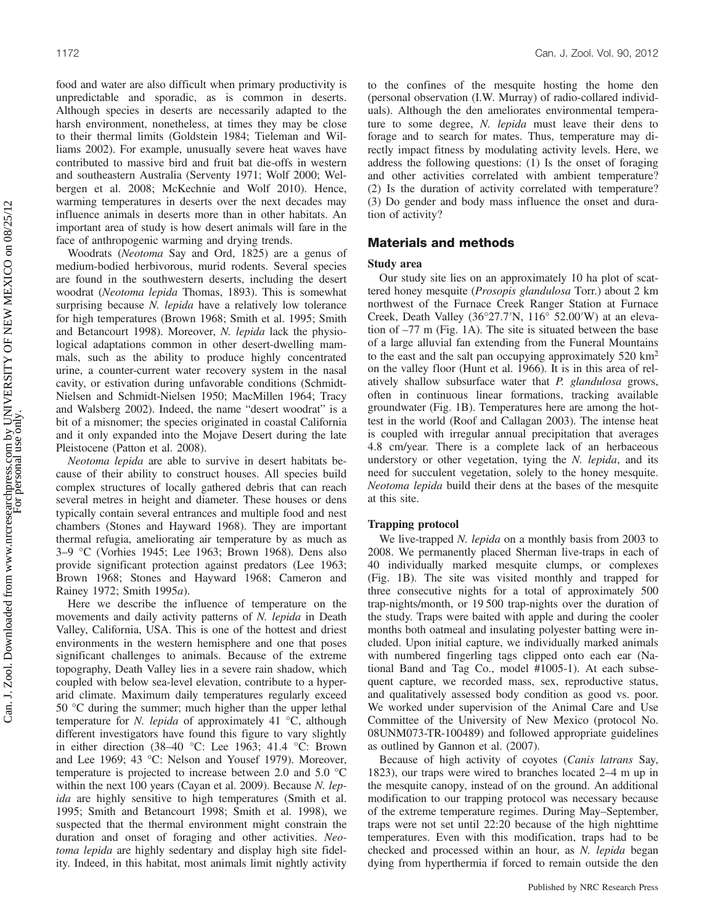food and water are also difficult when primary productivity is unpredictable and sporadic, as is common in deserts. Although species in deserts are necessarily adapted to the harsh environment, nonetheless, at times they may be close to their thermal limits (Goldstein 1984; Tieleman and Williams 2002). For example, unusually severe heat waves have contributed to massive bird and fruit bat die-offs in western and southeastern Australia (Serventy 1971; Wolf 2000; Welbergen et al. 2008; McKechnie and Wolf 2010). Hence, warming temperatures in deserts over the next decades may influence animals in deserts more than in other habitats. An important area of study is how desert animals will fare in the face of anthropogenic warming and drying trends.

Woodrats (Neotoma Say and Ord, 1825) are a genus of medium-bodied herbivorous, murid rodents. Several species are found in the southwestern deserts, including the desert woodrat (Neotoma lepida Thomas, 1893). This is somewhat surprising because N. lepida have a relatively low tolerance for high temperatures (Brown 1968; Smith et al. 1995; Smith and Betancourt 1998). Moreover, N. lepida lack the physiological adaptations common in other desert-dwelling mammals, such as the ability to produce highly concentrated urine, a counter-current water recovery system in the nasal cavity, or estivation during unfavorable conditions (Schmidt-Nielsen and Schmidt-Nielsen 1950; MacMillen 1964; Tracy and Walsberg 2002). Indeed, the name "desert woodrat" is a bit of a misnomer; the species originated in coastal California and it only expanded into the Mojave Desert during the late Pleistocene (Patton et al. 2008).

Neotoma lepida are able to survive in desert habitats because of their ability to construct houses. All species build complex structures of locally gathered debris that can reach several metres in height and diameter. These houses or dens typically contain several entrances and multiple food and nest chambers (Stones and Hayward 1968). They are important thermal refugia, ameliorating air temperature by as much as 3–9 °C (Vorhies 1945; Lee 1963; Brown 1968). Dens also provide significant protection against predators (Lee 1963; Brown 1968; Stones and Hayward 1968; Cameron and Rainey 1972; Smith 1995a).

Here we describe the influence of temperature on the movements and daily activity patterns of N. lepida in Death Valley, California, USA. This is one of the hottest and driest environments in the western hemisphere and one that poses significant challenges to animals. Because of the extreme topography, Death Valley lies in a severe rain shadow, which coupled with below sea-level elevation, contribute to a hyperarid climate. Maximum daily temperatures regularly exceed 50 °C during the summer; much higher than the upper lethal temperature for *N. lepida* of approximately 41  $\degree$ C, although different investigators have found this figure to vary slightly in either direction (38–40 °C: Lee 1963; 41.4 °C: Brown and Lee 1969; 43 °C: Nelson and Yousef 1979). Moreover, temperature is projected to increase between 2.0 and 5.0 °C within the next 100 years (Cayan et al. 2009). Because N. lepida are highly sensitive to high temperatures (Smith et al. 1995; Smith and Betancourt 1998; Smith et al. 1998), we suspected that the thermal environment might constrain the duration and onset of foraging and other activities. Neotoma lepida are highly sedentary and display high site fidelity. Indeed, in this habitat, most animals limit nightly activity to the confines of the mesquite hosting the home den (personal observation (I.W. Murray) of radio-collared individuals). Although the den ameliorates environmental temperature to some degree, N. lepida must leave their dens to forage and to search for mates. Thus, temperature may directly impact fitness by modulating activity levels. Here, we address the following questions: (1) Is the onset of foraging and other activities correlated with ambient temperature? (2) Is the duration of activity correlated with temperature? (3) Do gender and body mass influence the onset and duration of activity?

# Materials and methods

#### Study area

Our study site lies on an approximately 10 ha plot of scattered honey mesquite (Prosopis glandulosa Torr.) about 2 km northwest of the Furnace Creek Ranger Station at Furnace Creek, Death Valley (36°27.7′N, 116° 52.00′W) at an elevation of –77 m (Fig. 1A). The site is situated between the base of a large alluvial fan extending from the Funeral Mountains to the east and the salt pan occupying approximately 520 km2 on the valley floor (Hunt et al. 1966). It is in this area of relatively shallow subsurface water that P. glandulosa grows, often in continuous linear formations, tracking available groundwater (Fig. 1B). Temperatures here are among the hottest in the world (Roof and Callagan 2003). The intense heat is coupled with irregular annual precipitation that averages 4.8 cm/year. There is a complete lack of an herbaceous understory or other vegetation, tying the N. lepida, and its need for succulent vegetation, solely to the honey mesquite. Neotoma lepida build their dens at the bases of the mesquite at this site.

#### Trapping protocol

We live-trapped N. *lepida* on a monthly basis from 2003 to 2008. We permanently placed Sherman live-traps in each of 40 individually marked mesquite clumps, or complexes (Fig. 1B). The site was visited monthly and trapped for three consecutive nights for a total of approximately 500 trap-nights/month, or 19 500 trap-nights over the duration of the study. Traps were baited with apple and during the cooler months both oatmeal and insulating polyester batting were included. Upon initial capture, we individually marked animals with numbered fingerling tags clipped onto each ear (National Band and Tag Co., model #1005-1). At each subsequent capture, we recorded mass, sex, reproductive status, and qualitatively assessed body condition as good vs. poor. We worked under supervision of the Animal Care and Use Committee of the University of New Mexico (protocol No. 08UNM073-TR-100489) and followed appropriate guidelines as outlined by Gannon et al. (2007).

Because of high activity of coyotes (Canis latrans Say, 1823), our traps were wired to branches located 2–4 m up in the mesquite canopy, instead of on the ground. An additional modification to our trapping protocol was necessary because of the extreme temperature regimes. During May–September, traps were not set until 22:20 because of the high nighttime temperatures. Even with this modification, traps had to be checked and processed within an hour, as N. lepida began dying from hyperthermia if forced to remain outside the den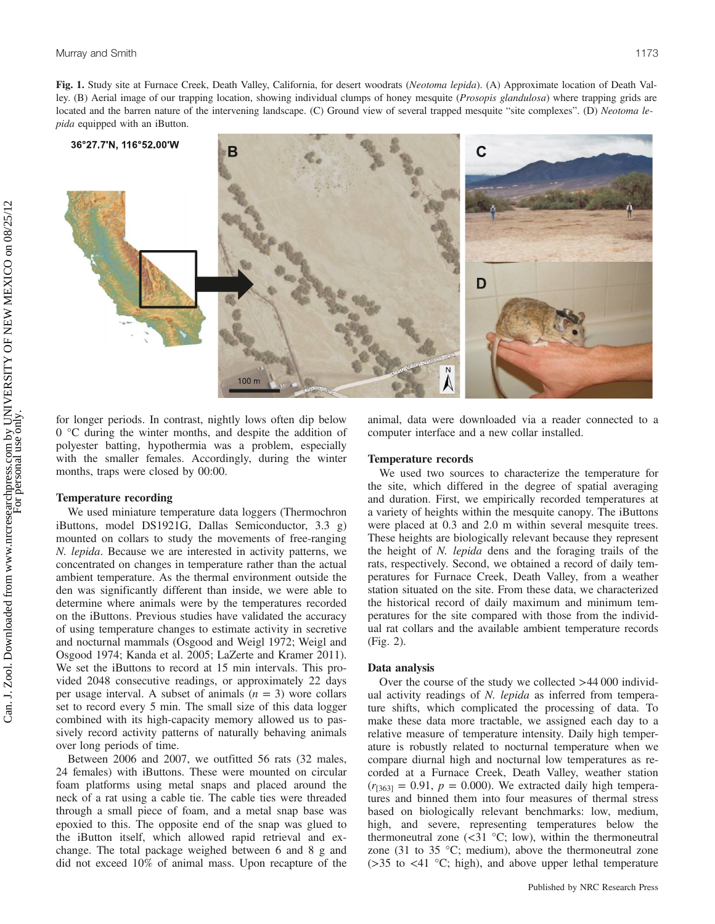Fig. 1. Study site at Furnace Creek, Death Valley, California, for desert woodrats (Neotoma lepida). (A) Approximate location of Death Valley. (B) Aerial image of our trapping location, showing individual clumps of honey mesquite (*Prosopis glandulosa*) where trapping grids are located and the barren nature of the intervening landscape. (C) Ground view of several trapped mesquite "site complexes". (D) Neotoma lepida equipped with an iButton.



for longer periods. In contrast, nightly lows often dip below 0 °C during the winter months, and despite the addition of polyester batting, hypothermia was a problem, especially with the smaller females. Accordingly, during the winter months, traps were closed by 00:00.

## Temperature recording

We used miniature temperature data loggers (Thermochron iButtons, model DS1921G, Dallas Semiconductor, 3.3 g) mounted on collars to study the movements of free-ranging N. lepida. Because we are interested in activity patterns, we concentrated on changes in temperature rather than the actual ambient temperature. As the thermal environment outside the den was significantly different than inside, we were able to determine where animals were by the temperatures recorded on the iButtons. Previous studies have validated the accuracy of using temperature changes to estimate activity in secretive and nocturnal mammals (Osgood and Weigl 1972; Weigl and Osgood 1974; Kanda et al. 2005; LaZerte and Kramer 2011). We set the iButtons to record at 15 min intervals. This provided 2048 consecutive readings, or approximately 22 days per usage interval. A subset of animals  $(n = 3)$  wore collars set to record every 5 min. The small size of this data logger combined with its high-capacity memory allowed us to passively record activity patterns of naturally behaving animals over long periods of time.

Between 2006 and 2007, we outfitted 56 rats (32 males, 24 females) with iButtons. These were mounted on circular foam platforms using metal snaps and placed around the neck of a rat using a cable tie. The cable ties were threaded through a small piece of foam, and a metal snap base was epoxied to this. The opposite end of the snap was glued to the iButton itself, which allowed rapid retrieval and exchange. The total package weighed between 6 and 8 g and did not exceed 10% of animal mass. Upon recapture of the animal, data were downloaded via a reader connected to a computer interface and a new collar installed.

#### Temperature records

We used two sources to characterize the temperature for the site, which differed in the degree of spatial averaging and duration. First, we empirically recorded temperatures at a variety of heights within the mesquite canopy. The iButtons were placed at 0.3 and 2.0 m within several mesquite trees. These heights are biologically relevant because they represent the height of N. lepida dens and the foraging trails of the rats, respectively. Second, we obtained a record of daily temperatures for Furnace Creek, Death Valley, from a weather station situated on the site. From these data, we characterized the historical record of daily maximum and minimum temperatures for the site compared with those from the individual rat collars and the available ambient temperature records (Fig. 2).

#### Data analysis

Over the course of the study we collected >44 000 individual activity readings of N. lepida as inferred from temperature shifts, which complicated the processing of data. To make these data more tractable, we assigned each day to a relative measure of temperature intensity. Daily high temperature is robustly related to nocturnal temperature when we compare diurnal high and nocturnal low temperatures as recorded at a Furnace Creek, Death Valley, weather station  $(r<sub>[363]</sub> = 0.91, p = 0.000)$ . We extracted daily high temperatures and binned them into four measures of thermal stress based on biologically relevant benchmarks: low, medium, high, and severe, representing temperatures below the thermoneutral zone  $(\leq 31 \degree C; 100)$ , within the thermoneutral zone (31 to 35  $\degree$ C; medium), above the thermoneutral zone (>35 to <41 °C; high), and above upper lethal temperature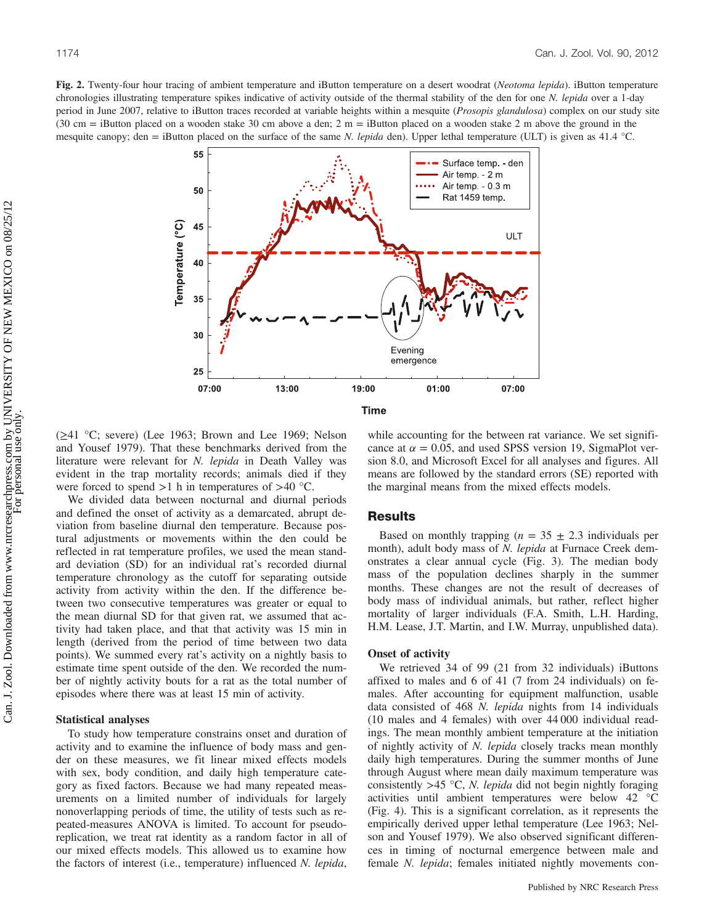

 $(\geq 41 \degree C;$  severe) (Lee 1963; Brown and Lee 1969; Nelson and Yousef 1979). That these benchmarks derived from the literature were relevant for N. lepida in Death Valley was evident in the trap mortality records; animals died if they were forced to spend  $>1$  h in temperatures of  $>40$  °C.

We divided data between nocturnal and diurnal periods and defined the onset of activity as a demarcated, abrupt deviation from baseline diurnal den temperature. Because postural adjustments or movements within the den could be reflected in rat temperature profiles, we used the mean standard deviation (SD) for an individual rat's recorded diurnal temperature chronology as the cutoff for separating outside activity from activity within the den. If the difference between two consecutive temperatures was greater or equal to the mean diurnal SD for that given rat, we assumed that activity had taken place, and that that activity was 15 min in length (derived from the period of time between two data points). We summed every rat's activity on a nightly basis to estimate time spent outside of the den. We recorded the number of nightly activity bouts for a rat as the total number of episodes where there was at least 15 min of activity.

#### Statistical analyses

To study how temperature constrains onset and duration of activity and to examine the influence of body mass and gender on these measures, we fit linear mixed effects models with sex, body condition, and daily high temperature category as fixed factors. Because we had many repeated measurements on a limited number of individuals for largely nonoverlapping periods of time, the utility of tests such as repeated-measures ANOVA is limited. To account for pseudoreplication, we treat rat identity as a random factor in all of our mixed effects models. This allowed us to examine how the factors of interest (i.e., temperature) influenced N. lepida, while accounting for the between rat variance. We set significance at  $\alpha = 0.05$ , and used SPSS version 19, SigmaPlot version 8.0, and Microsoft Excel for all analyses and figures. All means are followed by the standard errors (SE) reported with the marginal means from the mixed effects models.

## Results

Based on monthly trapping ( $n = 35 \pm 2.3$  individuals per month), adult body mass of N. lepida at Furnace Creek demonstrates a clear annual cycle (Fig. 3). The median body mass of the population declines sharply in the summer months. These changes are not the result of decreases of body mass of individual animals, but rather, reflect higher mortality of larger individuals (F.A. Smith, L.H. Harding, H.M. Lease, J.T. Martin, and I.W. Murray, unpublished data).

# Onset of activity

We retrieved 34 of 99 (21 from 32 individuals) iButtons affixed to males and 6 of 41 (7 from 24 individuals) on females. After accounting for equipment malfunction, usable data consisted of 468 N. lepida nights from 14 individuals (10 males and 4 females) with over 44 000 individual readings. The mean monthly ambient temperature at the initiation of nightly activity of N. lepida closely tracks mean monthly daily high temperatures. During the summer months of June through August where mean daily maximum temperature was consistently  $>45$  °C, N. lepida did not begin nightly foraging activities until ambient temperatures were below 42 °C (Fig. 4). This is a significant correlation, as it represents the empirically derived upper lethal temperature (Lee 1963; Nelson and Yousef 1979). We also observed significant differences in timing of nocturnal emergence between male and female N. lepida; females initiated nightly movements con-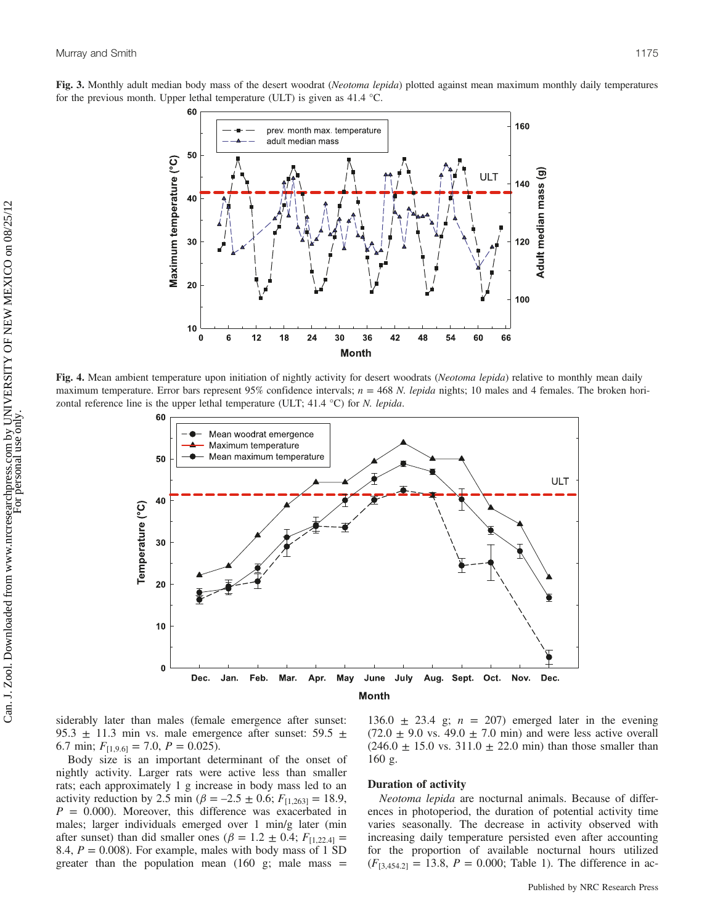



Fig. 4. Mean ambient temperature upon initiation of nightly activity for desert woodrats (Neotoma lepida) relative to monthly mean daily maximum temperature. Error bars represent 95% confidence intervals;  $n = 468$  N. lepida nights; 10 males and 4 females. The broken horizontal reference line is the upper lethal temperature (ULT;  $41.4 \text{ }^{\circ}\text{C}$ ) for *N. lepida.* 



siderably later than males (female emergence after sunset: 95.3  $\pm$  11.3 min vs. male emergence after sunset: 59.5  $\pm$ 6.7 min;  $F_{[1,9.6]} = 7.0$ ,  $P = 0.025$ ).

Body size is an important determinant of the onset of nightly activity. Larger rats were active less than smaller rats; each approximately 1 g increase in body mass led to an activity reduction by 2.5 min ( $\beta = -2.5 \pm 0.6$ ;  $F_{[1,263]} = 18.9$ ,  $P = 0.000$ . Moreover, this difference was exacerbated in males; larger individuals emerged over 1 min/g later (min after sunset) than did smaller ones ( $\beta = 1.2 \pm 0.4$ ;  $F_{[1,22.4]} =$ 8.4,  $P = 0.008$ ). For example, males with body mass of 1 SD greater than the population mean  $(160 \text{ g})$ ; male mass =

136.0  $\pm$  23.4 g;  $n = 207$ ) emerged later in the evening  $(72.0 \pm 9.0 \text{ vs. } 49.0 \pm 7.0 \text{ min})$  and were less active overall  $(246.0 \pm 15.0 \text{ vs. } 311.0 \pm 22.0 \text{ min})$  than those smaller than 160 g.

#### Duration of activity

Neotoma lepida are nocturnal animals. Because of differences in photoperiod, the duration of potential activity time varies seasonally. The decrease in activity observed with increasing daily temperature persisted even after accounting for the proportion of available nocturnal hours utilized  $(F_{[3,454.2]} = 13.8, P = 0.000;$  Table 1). The difference in ac-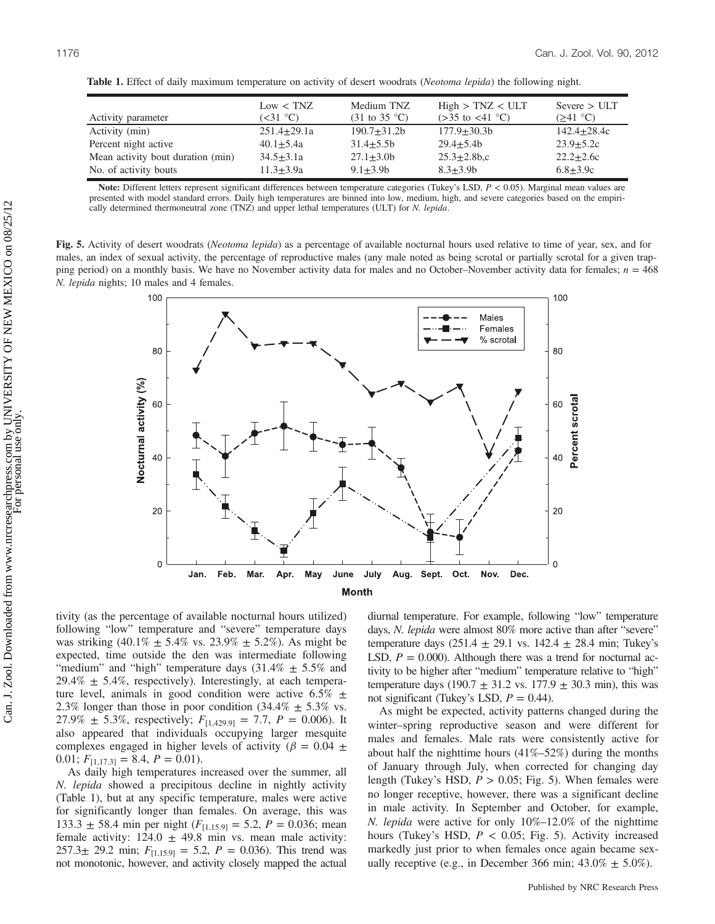| Activity parameter                | Low < TNZ<br>$(\leq 31$ °C) | Medium TNZ<br>$(31 \text{ to } 35 \text{ °C})$ | High > TNZ < ULT<br>$(>35$ to $<41$ °C) | Severe > ULT<br>$(241 \text{ °C})$ |
|-----------------------------------|-----------------------------|------------------------------------------------|-----------------------------------------|------------------------------------|
| Activity (min)                    | $251.4 + 29.1a$             | $190.7 + 31.2b$                                | $177.9 + 30.3b$                         | $142.4 + 28.4c$                    |
| Percent night active              | $40.1 + 5.4a$               | $31.4 + 5.5b$                                  | $29.4 + 5.4b$                           | $23.9 + 5.2c$                      |
| Mean activity bout duration (min) | $34.5 + 3.1a$               | $27.1 + 3.0b$                                  | $25.3 \pm 2.8$ b.c                      | $22.2 + 2.6c$                      |
| No. of activity bouts             | $11.3 + 3.9a$               | $9.1 + 3.9b$                                   | $8.3 + 3.9b$                            | $6.8 + 3.9c$                       |

Table 1. Effect of daily maximum temperature on activity of desert woodrats (Neotoma lepida) the following night.

Note: Different letters represent significant differences between temperature categories (Tukey's LSD,  $P < 0.05$ ). Marginal mean values are presented with model standard errors. Daily high temperatures are binned into low, medium, high, and severe categories based on the empirically determined thermoneutral zone (TNZ) and upper lethal temperatures (ULT) for N. lepida.

Fig. 5. Activity of desert woodrats (Neotoma lepida) as a percentage of available nocturnal hours used relative to time of year, sex, and for males, an index of sexual activity, the percentage of reproductive males (any male noted as being scrotal or partially scrotal for a given trapping period) on a monthly basis. We have no November activity data for males and no October–November activity data for females;  $n = 468$ N. lepida nights; 10 males and 4 females.



tivity (as the percentage of available nocturnal hours utilized) following "low" temperature and "severe" temperature days was striking  $(40.1\% \pm 5.4\% \text{ vs. } 23.9\% \pm 5.2\% )$ . As might be expected, time outside the den was intermediate following "medium" and "high" temperature days  $(31.4\% \pm 5.5\%$  and  $29.4\% \pm 5.4\%$ , respectively). Interestingly, at each temperature level, animals in good condition were active  $6.5\%$   $\pm$ 2.3% longer than those in poor condition  $(34.4\% \pm 5.3\% \text{ vs.})$ 27.9%  $\pm$  5.3%, respectively;  $F_{[1,429.9]} = 7.7$ ,  $P = 0.006$ ). It also appeared that individuals occupying larger mesquite complexes engaged in higher levels of activity ( $\beta = 0.04 \pm$ 0.01;  $F_{[1,17,3]} = 8.4, P = 0.01$ .

As daily high temperatures increased over the summer, all N. lepida showed a precipitous decline in nightly activity (Table 1), but at any specific temperature, males were active for significantly longer than females. On average, this was 133.3  $\pm$  58.4 min per night ( $F_{[1,15.9]}$  = 5.2, P = 0.036; mean female activity:  $124.0 \pm 49.8$  min vs. mean male activity: 257.3 $\pm$  29.2 min;  $F_{[1,15.9]} = 5.2$ ,  $P = 0.036$ ). This trend was not monotonic, however, and activity closely mapped the actual diurnal temperature. For example, following "low" temperature days, N. lepida were almost 80% more active than after "severe" temperature days (251.4  $\pm$  29.1 vs. 142.4  $\pm$  28.4 min; Tukey's LSD,  $P = 0.000$ . Although there was a trend for nocturnal activity to be higher after "medium" temperature relative to "high" temperature days (190.7  $\pm$  31.2 vs. 177.9  $\pm$  30.3 min), this was not significant (Tukey's LSD,  $P = 0.44$ ).

As might be expected, activity patterns changed during the winter–spring reproductive season and were different for males and females. Male rats were consistently active for about half the nighttime hours (41%–52%) during the months of January through July, when corrected for changing day length (Tukey's HSD,  $P > 0.05$ ; Fig. 5). When females were no longer receptive, however, there was a significant decline in male activity. In September and October, for example, N. lepida were active for only 10%–12.0% of the nighttime hours (Tukey's HSD,  $P < 0.05$ ; Fig. 5). Activity increased markedly just prior to when females once again became sexually receptive (e.g., in December 366 min;  $43.0\% \pm 5.0\%$ ).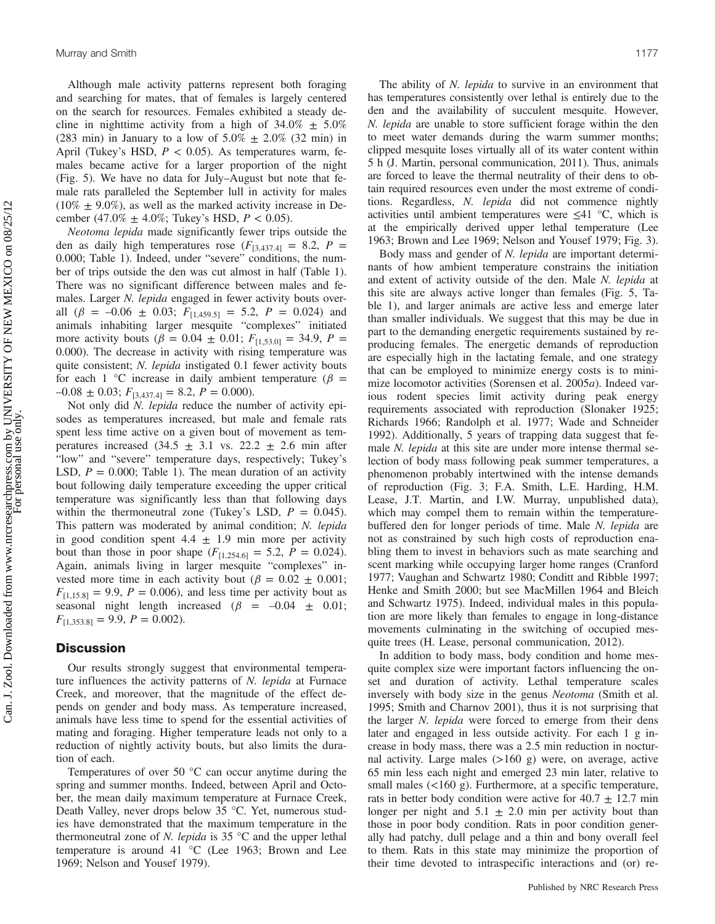Although male activity patterns represent both foraging and searching for mates, that of females is largely centered on the search for resources. Females exhibited a steady decline in nighttime activity from a high of  $34.0\% \pm 5.0\%$ (283 min) in January to a low of  $5.0\% \pm 2.0\%$  (32 min) in April (Tukey's HSD,  $P < 0.05$ ). As temperatures warm, females became active for a larger proportion of the night (Fig. 5). We have no data for July–August but note that female rats paralleled the September lull in activity for males  $(10\% \pm 9.0\%)$ , as well as the marked activity increase in December (47.0%  $\pm$  4.0%; Tukey's HSD,  $P < 0.05$ ).

Neotoma lepida made significantly fewer trips outside the den as daily high temperatures rose  $(F_{[3,437.4]} = 8.2, P =$ 0.000; Table 1). Indeed, under "severe" conditions, the number of trips outside the den was cut almost in half (Table 1). There was no significant difference between males and females. Larger N. lepida engaged in fewer activity bouts overall  $(\beta = -0.06 \pm 0.03; F_{[1,459.5]} = 5.2, P = 0.024)$  and animals inhabiting larger mesquite "complexes" initiated more activity bouts ( $\beta = 0.04 \pm 0.01$ ;  $F_{[1,53.0]} = 34.9$ ,  $P =$ 0.000). The decrease in activity with rising temperature was quite consistent; N. lepida instigated 0.1 fewer activity bouts for each 1 °C increase in daily ambient temperature ( $\beta$  =  $-0.08 \pm 0.03$ ;  $F_{[3,437.4]} = 8.2$ ,  $P = 0.000$ ).

Not only did N. lepida reduce the number of activity episodes as temperatures increased, but male and female rats spent less time active on a given bout of movement as temperatures increased  $(34.5 \pm 3.1 \text{ vs. } 22.2 \pm 2.6 \text{ min after})$ "low" and "severe" temperature days, respectively; Tukey's LSD,  $P = 0.000$ ; Table 1). The mean duration of an activity bout following daily temperature exceeding the upper critical temperature was significantly less than that following days within the thermoneutral zone (Tukey's LSD,  $P = 0.045$ ). This pattern was moderated by animal condition; N. lepida in good condition spent  $4.4 \pm 1.9$  min more per activity bout than those in poor shape  $(F_{11,254,61} = 5.2, P = 0.024)$ . Again, animals living in larger mesquite "complexes" invested more time in each activity bout ( $\beta = 0.02 \pm 0.001$ ;  $F_{[1,15,8]} = 9.9, P = 0.006$ , and less time per activity bout as seasonal night length increased  $(\beta = -0.04 \pm 0.01)$ ;  $F_{[1,353.8]} = 9.9, P = 0.002$ .

# **Discussion**

Our results strongly suggest that environmental temperature influences the activity patterns of N. lepida at Furnace Creek, and moreover, that the magnitude of the effect depends on gender and body mass. As temperature increased, animals have less time to spend for the essential activities of mating and foraging. Higher temperature leads not only to a reduction of nightly activity bouts, but also limits the duration of each.

Temperatures of over 50 °C can occur anytime during the spring and summer months. Indeed, between April and October, the mean daily maximum temperature at Furnace Creek, Death Valley, never drops below 35 °C. Yet, numerous studies have demonstrated that the maximum temperature in the thermoneutral zone of N. lepida is 35  $\degree$ C and the upper lethal temperature is around 41 °C (Lee 1963; Brown and Lee 1969; Nelson and Yousef 1979).

The ability of *N. lepida* to survive in an environment that has temperatures consistently over lethal is entirely due to the den and the availability of succulent mesquite. However, N. *lepida* are unable to store sufficient forage within the den to meet water demands during the warm summer months; clipped mesquite loses virtually all of its water content within 5 h (J. Martin, personal communication, 2011). Thus, animals are forced to leave the thermal neutrality of their dens to obtain required resources even under the most extreme of conditions. Regardless, N. lepida did not commence nightly activities until ambient temperatures were  $\leq 41$  °C, which is at the empirically derived upper lethal temperature (Lee 1963; Brown and Lee 1969; Nelson and Yousef 1979; Fig. 3).

Body mass and gender of N. lepida are important determinants of how ambient temperature constrains the initiation and extent of activity outside of the den. Male N. lepida at this site are always active longer than females (Fig. 5, Table 1), and larger animals are active less and emerge later than smaller individuals. We suggest that this may be due in part to the demanding energetic requirements sustained by reproducing females. The energetic demands of reproduction are especially high in the lactating female, and one strategy that can be employed to minimize energy costs is to minimize locomotor activities (Sorensen et al. 2005a). Indeed various rodent species limit activity during peak energy requirements associated with reproduction (Slonaker 1925; Richards 1966; Randolph et al. 1977; Wade and Schneider 1992). Additionally, 5 years of trapping data suggest that female *N. lepida* at this site are under more intense thermal selection of body mass following peak summer temperatures, a phenomenon probably intertwined with the intense demands of reproduction (Fig. 3; F.A. Smith, L.E. Harding, H.M. Lease, J.T. Martin, and I.W. Murray, unpublished data), which may compel them to remain within the temperaturebuffered den for longer periods of time. Male N. lepida are not as constrained by such high costs of reproduction enabling them to invest in behaviors such as mate searching and scent marking while occupying larger home ranges (Cranford 1977; Vaughan and Schwartz 1980; Conditt and Ribble 1997; Henke and Smith 2000; but see MacMillen 1964 and Bleich and Schwartz 1975). Indeed, individual males in this population are more likely than females to engage in long-distance movements culminating in the switching of occupied mesquite trees (H. Lease, personal communication, 2012).

In addition to body mass, body condition and home mesquite complex size were important factors influencing the onset and duration of activity. Lethal temperature scales inversely with body size in the genus Neotoma (Smith et al. 1995; Smith and Charnov 2001), thus it is not surprising that the larger N. lepida were forced to emerge from their dens later and engaged in less outside activity. For each 1 g increase in body mass, there was a 2.5 min reduction in nocturnal activity. Large males  $(>160 \text{ g})$  were, on average, active 65 min less each night and emerged 23 min later, relative to small males  $\left($ <160 g). Furthermore, at a specific temperature, rats in better body condition were active for  $40.7 \pm 12.7$  min longer per night and  $5.1 \pm 2.0$  min per activity bout than those in poor body condition. Rats in poor condition generally had patchy, dull pelage and a thin and bony overall feel to them. Rats in this state may minimize the proportion of their time devoted to intraspecific interactions and (or) re-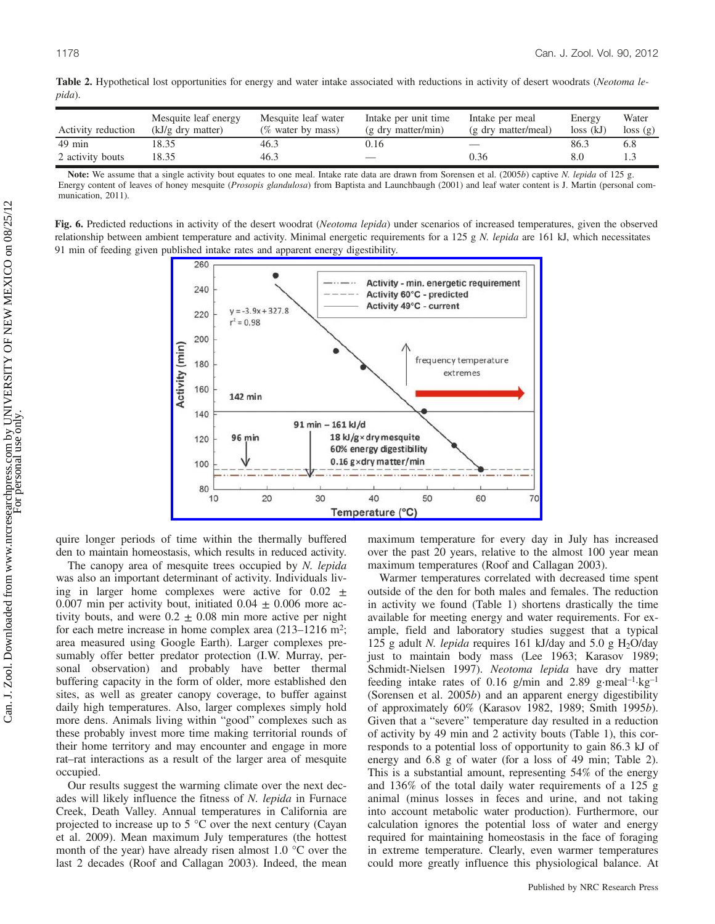|        |  | Table 2. Hypothetical lost opportunities for energy and water intake associated with reductions in activity of desert woodrats (Neotoma le- |  |  |  |  |  |  |  |  |
|--------|--|---------------------------------------------------------------------------------------------------------------------------------------------|--|--|--|--|--|--|--|--|
| pida). |  |                                                                                                                                             |  |  |  |  |  |  |  |  |

| Activity reduction | Mesquite leaf energy<br>$(kJ/g$ dry matter) | Mesquite leaf water<br>(% water by mass) | Intake per unit time<br>$(g$ dry matter/min) | Intake per meal<br>(g dry matter/meal) | Energy<br>$loss$ $(kJ)$ | Water<br>$\cos(g)$ |
|--------------------|---------------------------------------------|------------------------------------------|----------------------------------------------|----------------------------------------|-------------------------|--------------------|
| $49 \text{ min}$   | 18.35                                       | 46.3                                     | J. 16                                        |                                        | 86.3                    | b.8                |
| 2 activity bouts   | 18.35                                       | 46.3                                     |                                              | 0.36                                   | 8.0                     |                    |

Note: We assume that a single activity bout equates to one meal. Intake rate data are drawn from Sorensen et al. (2005b) captive N. lepida of 125 g. Energy content of leaves of honey mesquite (Prosopis glandulosa) from Baptista and Launchbaugh (2001) and leaf water content is J. Martin (personal communication, 2011).

Fig. 6. Predicted reductions in activity of the desert woodrat (Neotoma lepida) under scenarios of increased temperatures, given the observed relationship between ambient temperature and activity. Minimal energetic requirements for a 125 g  $N$ . *lepida* are 161 kJ, which necessitates 91 min of feeding given published intake rates and apparent energy digestibility.



quire longer periods of time within the thermally buffered den to maintain homeostasis, which results in reduced activity.

The canopy area of mesquite trees occupied by N. *lepida* was also an important determinant of activity. Individuals living in larger home complexes were active for  $0.02 \pm$ 0.007 min per activity bout, initiated  $0.04 \pm 0.006$  more activity bouts, and were  $0.2 \pm 0.08$  min more active per night for each metre increase in home complex area  $(213-1216 \text{ m}^2)$ ; area measured using Google Earth). Larger complexes presumably offer better predator protection (I.W. Murray, personal observation) and probably have better thermal buffering capacity in the form of older, more established den sites, as well as greater canopy coverage, to buffer against daily high temperatures. Also, larger complexes simply hold more dens. Animals living within "good" complexes such as these probably invest more time making territorial rounds of their home territory and may encounter and engage in more rat–rat interactions as a result of the larger area of mesquite occupied.

Our results suggest the warming climate over the next decades will likely influence the fitness of N. lepida in Furnace Creek, Death Valley. Annual temperatures in California are projected to increase up to 5 °C over the next century (Cayan et al. 2009). Mean maximum July temperatures (the hottest month of the year) have already risen almost 1.0 °C over the last 2 decades (Roof and Callagan 2003). Indeed, the mean maximum temperature for every day in July has increased over the past 20 years, relative to the almost 100 year mean maximum temperatures (Roof and Callagan 2003).

Warmer temperatures correlated with decreased time spent outside of the den for both males and females. The reduction in activity we found (Table 1) shortens drastically the time available for meeting energy and water requirements. For example, field and laboratory studies suggest that a typical 125 g adult *N. lepida* requires 161 kJ/day and 5.0 g H<sub>2</sub>O/day just to maintain body mass (Lee 1963; Karasov 1989; Schmidt-Nielsen 1997). Neotoma lepida have dry matter feeding intake rates of 0.16 g/min and 2.89 g·meal<sup>-1</sup>·kg<sup>-1</sup> (Sorensen et al. 2005b) and an apparent energy digestibility of approximately 60% (Karasov 1982, 1989; Smith 1995b). Given that a "severe" temperature day resulted in a reduction of activity by 49 min and 2 activity bouts (Table 1), this corresponds to a potential loss of opportunity to gain 86.3 kJ of energy and 6.8 g of water (for a loss of 49 min; Table 2). This is a substantial amount, representing 54% of the energy and 136% of the total daily water requirements of a 125 g animal (minus losses in feces and urine, and not taking into account metabolic water production). Furthermore, our calculation ignores the potential loss of water and energy required for maintaining homeostasis in the face of foraging in extreme temperature. Clearly, even warmer temperatures could more greatly influence this physiological balance. At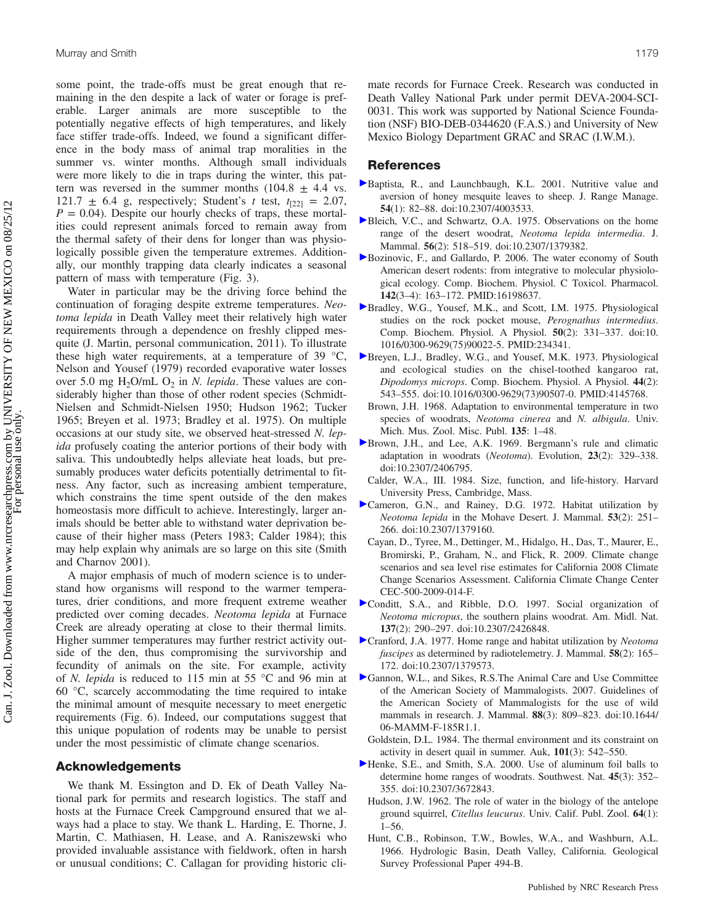some point, the trade-offs must be great enough that remaining in the den despite a lack of water or forage is preferable. Larger animals are more susceptible to the potentially negative effects of high temperatures, and likely face stiffer trade-offs. Indeed, we found a significant difference in the body mass of animal trap moralities in the summer vs. winter months. Although small individuals were more likely to die in traps during the winter, this pattern was reversed in the summer months  $(104.8 \pm 4.4 \text{ vs.})$ 121.7  $\pm$  6.4 g, respectively; Student's t test,  $t_{[22]} = 2.07$ ,  $P = 0.04$ ). Despite our hourly checks of traps, these mortalities could represent animals forced to remain away from the thermal safety of their dens for longer than was physiologically possible given the temperature extremes. Additionally, our monthly trapping data clearly indicates a seasonal pattern of mass with temperature (Fig. 3).

Water in particular may be the driving force behind the continuation of foraging despite extreme temperatures. Neotoma lepida in Death Valley meet their relatively high water requirements through a dependence on freshly clipped mesquite (J. Martin, personal communication, 2011). To illustrate these high water requirements, at a temperature of 39  $\degree$ C, Nelson and Yousef (1979) recorded evaporative water losses over 5.0 mg  $H_2O/mL O_2$  in N. lepida. These values are considerably higher than those of other rodent species (Schmidt-Nielsen and Schmidt-Nielsen 1950; Hudson 1962; Tucker 1965; Breyen et al. 1973; Bradley et al. 1975). On multiple occasions at our study site, we observed heat-stressed N. lepida profusely coating the anterior portions of their body with saliva. This undoubtedly helps alleviate heat loads, but presumably produces water deficits potentially detrimental to fitness. Any factor, such as increasing ambient temperature, which constrains the time spent outside of the den makes homeostasis more difficult to achieve. Interestingly, larger animals should be better able to withstand water deprivation because of their higher mass (Peters 1983; Calder 1984); this may help explain why animals are so large on this site (Smith and Charnov 2001).

A major emphasis of much of modern science is to understand how organisms will respond to the warmer temperatures, drier conditions, and more frequent extreme weather predicted over coming decades. Neotoma lepida at Furnace Creek are already operating at close to their thermal limits. Higher summer temperatures may further restrict activity outside of the den, thus compromising the survivorship and fecundity of animals on the site. For example, activity of N. lepida is reduced to 115 min at 55 °C and 96 min at 60 °C, scarcely accommodating the time required to intake the minimal amount of mesquite necessary to meet energetic requirements (Fig. 6). Indeed, our computations suggest that this unique population of rodents may be unable to persist under the most pessimistic of climate change scenarios.

## Acknowledgements

We thank M. Essington and D. Ek of Death Valley National park for permits and research logistics. The staff and hosts at the Furnace Creek Campground ensured that we always had a place to stay. We thank L. Harding, E. Thorne, J. Martin, C. Mathiasen, H. Lease, and A. Raniszewski who provided invaluable assistance with fieldwork, often in harsh or unusual conditions; C. Callagan for providing historic climate records for Furnace Creek. Research was conducted in Death Valley National Park under permit DEVA-2004-SCI-0031. This work was supported by National Science Foundation (NSF) BIO-DEB-0344620 (F.A.S.) and University of New Mexico Biology Department GRAC and SRAC (I.W.M.).

## References

- Baptista, R., and Launchbaugh, K.L. 2001. Nutritive value and aversion of honey mesquite leaves to sheep. J. Range Manage. 54(1): 82–88. doi:10.2307/4003533.
- Bleich, V.C., and Schwartz, O.A. 1975. Observations on the home range of the desert woodrat, Neotoma lepida intermedia. J. Mammal. 56(2): 518–519. doi:10.2307/1379382.
- Bozinovic, F., and Gallardo, P. 2006. The water economy of South American desert rodents: from integrative to molecular physiological ecology. Comp. Biochem. Physiol. C Toxicol. Pharmacol. 142(3–4): 163–172. PMID:16198637.
- Bradley, W.G., Yousef, M.K., and Scott, I.M. 1975. Physiological studies on the rock pocket mouse, Perognathus intermedius. Comp. Biochem. Physiol. A Physiol. 50(2): 331–337. doi:10. 1016/0300-9629(75)90022-5. PMID:234341.
- Breyen, L.J., Bradley, W.G., and Yousef, M.K. 1973. Physiological and ecological studies on the chisel-toothed kangaroo rat, Dipodomys microps. Comp. Biochem. Physiol. A Physiol. 44(2): 543–555. doi:10.1016/0300-9629(73)90507-0. PMID:4145768.
- Brown, J.H. 1968. Adaptation to environmental temperature in two species of woodrats, Neotoma cinerea and N. albigula. Univ. Mich. Mus. Zool. Misc. Publ. 135: 1–48.
- Brown, J.H., and Lee, A.K. 1969. Bergmann's rule and climatic adaptation in woodrats (Neotoma). Evolution, 23(2): 329–338. doi:10.2307/2406795.
- Calder, W.A., III. 1984. Size, function, and life-history. Harvard University Press, Cambridge, Mass.
- Cameron, G.N., and Rainey, D.G. 1972. Habitat utilization by Neotoma lepida in the Mohave Desert. J. Mammal. 53(2): 251– 266. doi:10.2307/1379160.
- Cayan, D., Tyree, M., Dettinger, M., Hidalgo, H., Das, T., Maurer, E., Bromirski, P., Graham, N., and Flick, R. 2009. Climate change scenarios and sea level rise estimates for California 2008 Climate Change Scenarios Assessment. California Climate Change Center CEC-500-2009-014-F.
- Conditt, S.A., and Ribble, D.O. 1997. Social organization of Neotoma micropus, the southern plains woodrat. Am. Midl. Nat. 137(2): 290–297. doi:10.2307/2426848.
- Cranford, J.A. 1977. Home range and habitat utilization by Neotoma fuscipes as determined by radiotelemetry. J. Mammal. 58(2): 165– 172. doi:10.2307/1379573.
- Gannon, W.L., and Sikes, R.S.The Animal Care and Use Committee of the American Society of Mammalogists. 2007. Guidelines of the American Society of Mammalogists for the use of wild mammals in research. J. Mammal. 88(3): 809–823. doi:10.1644/ 06-MAMM-F-185R1.1.
- Goldstein, D.L. 1984. The thermal environment and its constraint on activity in desert quail in summer. Auk, 101(3): 542–550.
- Henke, S.E., and Smith, S.A. 2000. Use of aluminum foil balls to determine home ranges of woodrats. Southwest. Nat. 45(3): 352– 355. doi:10.2307/3672843.
	- Hudson, J.W. 1962. The role of water in the biology of the antelope ground squirrel, Citellus leucurus. Univ. Calif. Publ. Zool. 64(1): 1–56.
	- Hunt, C.B., Robinson, T.W., Bowles, W.A., and Washburn, A.L. 1966. Hydrologic Basin, Death Valley, California. Geological Survey Professional Paper 494-B.